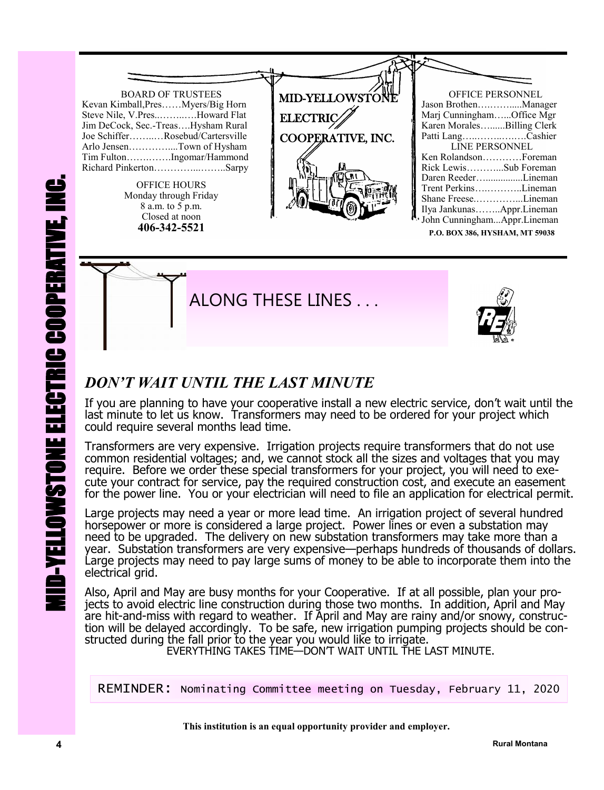

**P.O. BOX 386, HYSHAM, MT 59038**





## *DON'T WAIT UNTIL THE LAST MINUTE*

If you are planning to have your cooperative install a new electric service, don't wait until the last minute to let us know. Transformers may need to be ordered for your project which could require several months lead time.

Transformers are very expensive. Irrigation projects require transformers that do not use common residential voltages; and, we cannot stock all the sizes and voltages that you may require. Before we order these special transformers for your project, you will need to execute your contract for service, pay the required construction cost, and execute an easement for the power line. You or your electrician will need to file an application for electrical permit.

Large projects may need a year or more lead time. An irrigation project of several hundred horsepower or more is considered a large project. Power lines or even a substation may need to be upgraded. The delivery on new substation transformers may take more than a year. Substation transformers are very expensive—perhaps hundreds of thousands of dollars. Large projects may need to pay large sums of money to be able to incorporate them into the electrical grid.

**Also, April and May are busy months for your Cooperative. If at all possible, plan your places to avoid electric line construction during those two months. In addition, April and have hit-and-miss with regard to weather.** Also, April and May are busy months for your Cooperative. If at all possible, plan your projects to avoid electric line construction during those two months. In addition, April and May are hit-and-miss with regard to weather. If April and May are rainy and/or snowy, construction will be delayed accordingly. To be safe, new irrigation pumping projects should be constructed during the fall prior to the year you would like to irrigate.

EVERYTHING TAKES TIME—DON'T WAIT UNTIL THE LAST MINUTE.

REMINDER: Nominating Committee meeting on Tuesday, February 11, 2020

 **This institution is an equal opportunity provider and employer.**